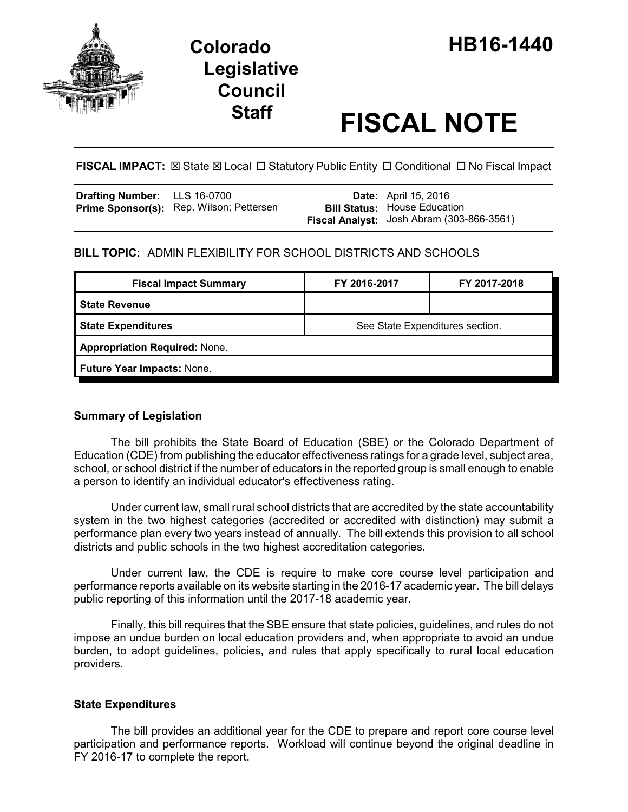

# **Legislative Council**

# **Staff FISCAL NOTE**

**FISCAL IMPACT:**  $\boxtimes$  **State**  $\boxtimes$  **Local □ Statutory Public Entity □ Conditional □ No Fiscal Impact** 

| <b>Drafting Number:</b> LLS 16-0700 |                                                 | <b>Date:</b> April 15, 2016               |
|-------------------------------------|-------------------------------------------------|-------------------------------------------|
|                                     | <b>Prime Sponsor(s):</b> Rep. Wilson; Pettersen | <b>Bill Status: House Education</b>       |
|                                     |                                                 | Fiscal Analyst: Josh Abram (303-866-3561) |

# **BILL TOPIC:** ADMIN FLEXIBILITY FOR SCHOOL DISTRICTS AND SCHOOLS

|                                      | FY 2017-2018 |  |  |  |  |
|--------------------------------------|--------------|--|--|--|--|
|                                      |              |  |  |  |  |
| See State Expenditures section.      |              |  |  |  |  |
| <b>Appropriation Required: None.</b> |              |  |  |  |  |
| Future Year Impacts: None.           |              |  |  |  |  |
|                                      |              |  |  |  |  |

## **Summary of Legislation**

The bill prohibits the State Board of Education (SBE) or the Colorado Department of Education (CDE) from publishing the educator effectiveness ratings for a grade level, subject area, school, or school district if the number of educators in the reported group is small enough to enable a person to identify an individual educator's effectiveness rating.

Under current law, small rural school districts that are accredited by the state accountability system in the two highest categories (accredited or accredited with distinction) may submit a performance plan every two years instead of annually. The bill extends this provision to all school districts and public schools in the two highest accreditation categories.

Under current law, the CDE is require to make core course level participation and performance reports available on its website starting in the 2016-17 academic year. The bill delays public reporting of this information until the 2017-18 academic year.

Finally, this bill requires that the SBE ensure that state policies, guidelines, and rules do not impose an undue burden on local education providers and, when appropriate to avoid an undue burden, to adopt guidelines, policies, and rules that apply specifically to rural local education providers.

## **State Expenditures**

The bill provides an additional year for the CDE to prepare and report core course level participation and performance reports. Workload will continue beyond the original deadline in FY 2016-17 to complete the report.